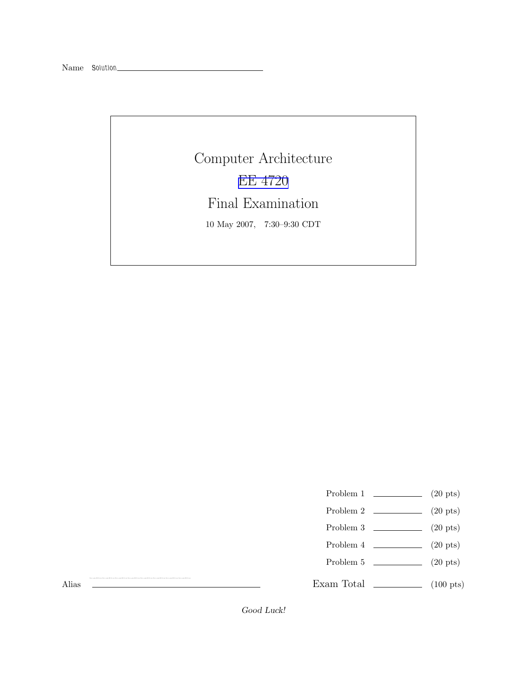Computer Architecture EE [4720](http://www.ece.lsu.edu/ee4720/) Final Examination 10 May 2007, 7:30–9:30 CDT

- Problem 1  $\qquad \qquad (20 \text{ pts})$
- Problem 2  $\qquad \qquad$  (20 pts)
- Problem 3  $\qquad \qquad (20 \text{ pts})$
- Problem 4  $\qquad \qquad (20 \text{ pts})$
- Problem 5 (20 pts)

Exam Total \_\_\_\_\_\_\_\_\_\_\_\_\_ (100 pts)

Alias

Good Luck!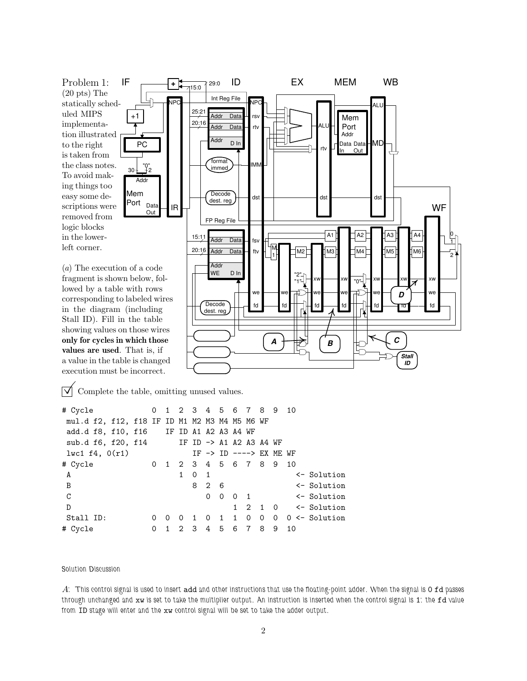Problem 1: (20 pts) The statically scheduled MIPS implementation illustrated to the right is taken from the class notes. To avoid making things too easy some descriptions were removed from logic blocks in the lowerleft corner.

(a) The execution of a code fragment is shown below, followed by a table with rows corresponding to labeled wires in the diagram (including Stall ID). Fill in the table showing values on those wires only for cycles in which those values are used. That is, if a value in the table is changed execution must be incorrect.

 $\triangledown$  Complete the table, omitting unused values.

| # Cycle                                               | 0        |   |   |                |            |                 |  | 1 2 3 4 5 6 7 8 9 10                           |    |                                                       |
|-------------------------------------------------------|----------|---|---|----------------|------------|-----------------|--|------------------------------------------------|----|-------------------------------------------------------|
| mul.d f2, f12, f18 IF ID M1 M2 M3 M4 M5 M6 WF         |          |   |   |                |            |                 |  |                                                |    |                                                       |
| add.d f8, f10, f16 IF ID A1 A2 A3 A4 WF               |          |   |   |                |            |                 |  |                                                |    |                                                       |
| sub.d f6, f20, f14 IF ID $\rightarrow$ A1 A2 A3 A4 WF |          |   |   |                |            |                 |  |                                                |    |                                                       |
| $l$ wc1 f4, $0(r1)$                                   |          |   |   |                |            |                 |  | IF $\rightarrow$ ID $\leftarrow$ ---> EX ME WF |    |                                                       |
| # Cycle                                               | 0        |   |   |                |            |                 |  | 1 2 3 4 5 6 7 8 9 10                           |    |                                                       |
| A                                                     |          |   | 1 | $0\quad 1$     |            |                 |  |                                                |    | $\leftarrow$ Solution                                 |
| $\overline{B}$                                        |          |   |   |                | 8 2 6      |                 |  |                                                |    | <- Solution                                           |
| $\mathsf C$                                           |          |   |   |                | $0\quad 0$ |                 |  |                                                |    | 0 1 <- Solution                                       |
| D                                                     |          |   |   |                |            |                 |  |                                                |    | $1 \quad 2 \quad 1 \quad 0 \quad \leftarrow$ Solution |
| Stall ID:                                             | 0        | 0 | 0 | $\overline{1}$ | $\circ$    |                 |  |                                                |    | 1 1 0 0 0 0 <- Solution                               |
| # Cycle                                               | $\Omega$ |   |   |                |            | 1 2 3 4 5 6 7 8 |  | 9                                              | 10 |                                                       |

format immed

dest. reg

FP Reg File

Addr Addr

**Decode** dest. reg

15:11

Addr Data

Data

WE D In

Addr

Data **Data** Addr <sub>D</sub> In

 $Int Reg File$ 

ID

IF  $\begin{array}{ccc} \begin{array}{ccc} \text{IF} & \text{IF} \\ \end{array} & \begin{array}{ccc} \text{IF} & \text{IF} \\ \end{array} \end{array}$ 

 $\overline{\mathsf{Addr}}$  Data  $\overline{\mathsf{Int}}$   $\overline{\mathsf{Int}}$   $\overline{\mathsf{Int}}$   $\overline{\mathsf{Aut}}$ 

 $\begin{array}{|c|c|c|c|c|}\n \hline \multicolumn{1}{c|}{\text{dest}} & \multicolumn{1}{c}{\text{dist}} & \multicolumn{1}{c}{\text{dist}} & \multicolumn{1}{c}{\text{dist}} & \multicolumn{1}{c}{\text{dist}} & \multicolumn{1}{c}{\text{dist}} & \multicolumn{1}{c}{\text{dist}} & \multicolumn{1}{c}{\text{dist}} & \multicolumn{1}{c}{\text{dist}} & \multicolumn{1}{c}{\text{dist}} & \multicolumn{1}{c}{\text{dist}} & \multicolumn{1}{c}{\text{dist}} & \multicolumn{1}{c}{\text{dist}} & \multic$ 

20:16 M6

M2 <sup>M</sup>

"2" "1"

fd we xw

Addr Data Data In

fd fd

fd **T** we<sup>-</sup> xw

*A* <del>|</del> <del>*B*</del> *C C B* 1 <del>∞</del> *C C* 

we █──█ we █<del>▂▂ੂ</del> )┼▌we █──█ we █──█ we █──█ we █─

A1  $A2$   $A3$  $M3$   $M4$   $M5$ 

"0"

 $rtv$   $\frac{1}{\ln}$  Out

Mem Port

ALU

Mr

**WF** 

 $0<sub>n</sub>$ 1 | I 2 ↑

A4

xw
<del>c</del>xw
lex

ਜ਼ਰ <mark>-</mark> we *D* 

> *Stall ID*

fd we —

xw

rsv rtv

MM

fsv ftv

1 H

fd **T** we<sup>-</sup>

 $25:2$  $20:16$  Addr

 $+$   $\leftarrow$  15:0  $\left.\right|$  29:0

NPC

+1

Mem Port

PC

Addr

30 2 "0"

Data Out

IR

Solution Discussion

A: This control signal is used to insert add and other instructions that use the floating-point adder. When the signal is 0 fd passes through unchanged and xw is set to take the multiplier output. An instruction is inserted when the control signal is 1: the fd value from ID stage will enter and the xw control signal will be set to take the adder output.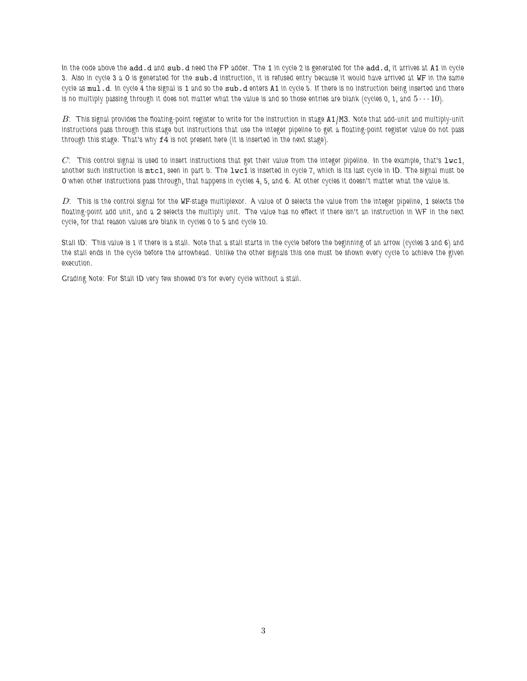In the code above the add.d and sub.d need the FP adder. The 1 in cycle 2 is generated for the add.d, it arrives at A1 in cycle 3. Also in cycle 3 a 0 is generated for the sub.d instruction, it is refused entry because it would have arrived at WF in the same cycle as mul.d. In cycle 4 the signal is 1 and so the sub.d enters A1 in cycle 5. If there is no instruction being inserted and there is no multiply passing through it does not matter what the value is and so those entries are blank (cycles 0, 1, and  $5 \cdots 10$ ).

 $B$ : This signal provides the floating-point register to write for the instruction in stage  $A1/M3$ . Note that add-unit and multiply-unit instructions pass through this stage but instructions that use the integer pipeline to get a floating-point register value do not pass through this stage. That's why f4 is not present here (it is inserted in the next stage).

 $C$ : This control signal is used to insert instructions that get their value from the integer pipeline. In the example, that's  $1$ wc1, another such instruction is  $m \texttt{tcl}$ , seen in part b. The lwc1 is inserted in cycle 7, which is its last cycle in ID. The signal must be 0 when other instructions pass through, that happens in cycles 4, 5, and 6. At other cycles it doesn't matter what the value is.

 $D$ : This is the control signal for the WF-stage multiplexor. A value of O selects the value from the integer pipeline, 1 selects the floating-point add unit, and a 2 selects the multiply unit. The value has no effect if there isn't an instruction in WF in the next cycle, for that reason values are blank in cycles 0 to 5 and cycle 10.

Stall ID: This value is 1 if there is a stall. Note that a stall starts in the cycle before the beginning of an arrow (cycles 3 and 6) and the stall ends in the cycle before the arrowhead. Unlike the other signals this one must be shown every cycle to achieve the given execution.

Grading Note: For Stall ID very few showed 0's for every cycle without a stall.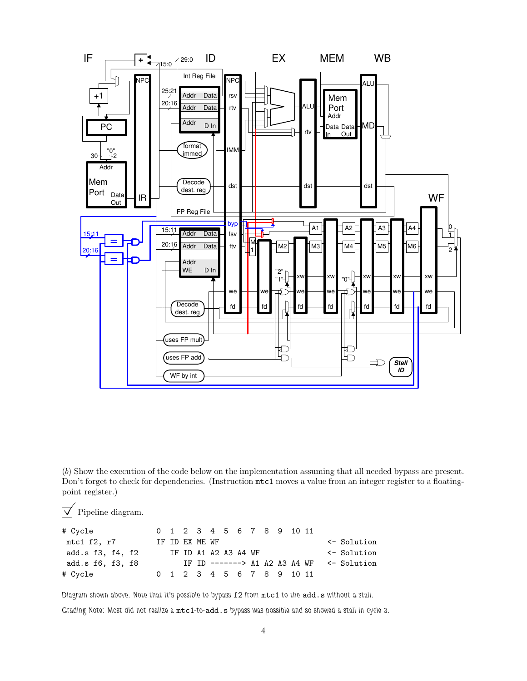

(b) Show the execution of the code below on the implementation assuming that all needed bypass are present. Don't forget to check for dependencies. (Instruction mtc1 moves a value from an integer register to a floatingpoint register.)

 $\triangledown$  Pipeline diagram.

| # Cycle          |  |  |                      |  |  | 0 1 2 3 4 5 6 7 8 9 10 11 |  |                                             |
|------------------|--|--|----------------------|--|--|---------------------------|--|---------------------------------------------|
| mtc1 f2, r7      |  |  | IF ID EX ME WF       |  |  |                           |  | $\leftarrow$ Solution                       |
| add.s f3, f4, f2 |  |  | IF ID A1 A2 A3 A4 WF |  |  |                           |  | $\leq$ Solution                             |
| add.s f6, f3, f8 |  |  |                      |  |  |                           |  | IF ID $---->$ A1 A2 A3 A4 WF $\le$ Solution |
| # Cycle          |  |  |                      |  |  | 0 1 2 3 4 5 6 7 8 9 10 11 |  |                                             |

Diagram shown above. Note that it's possible to bypass f2 from mtc1 to the add.s without a stall.

Grading Note: Most did not realize a mtc1-to-add.s bypass was possible and so showed a stall in cycle 3.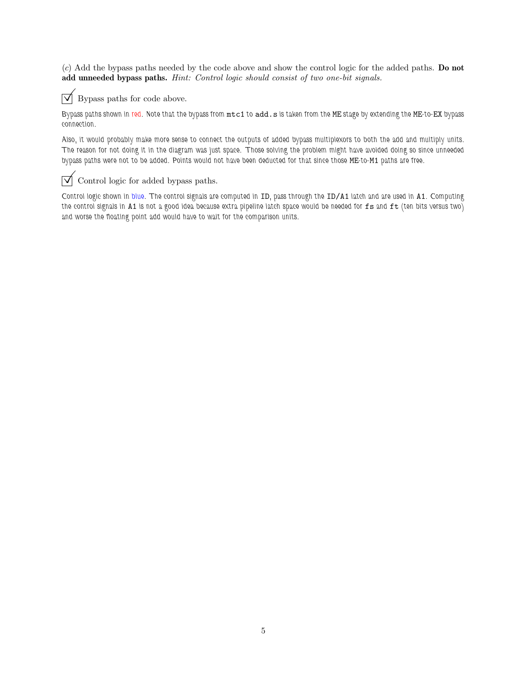(c) Add the bypass paths needed by the code above and show the control logic for the added paths. Do not add unneeded bypass paths. Hint: Control logic should consist of two one-bit signals.



 $\triangledown$  Bypass paths for code above.

Bypass paths shown in red. Note that the bypass from mtc1 to add.s is taken from the ME stage by extending the ME-to-EX bypass connection.

Also, it would probably make more sense to connect the outputs of added bypass multiplexors to both the add and multiply units. The reason for not doing it in the diagram was just space. Those solving the problem might have avoided doing so since unneeded bypass paths were not to be added. Points would not have been deducted for that since those ME-to-M1 paths are free.

## $\overrightarrow{V}$  Control logic for added bypass paths.

Control logic shown in blue. The control signals are computed in ID, pass through the ID/A1 latch and are used in A1. Computing the control signals in A1 is not a good idea because extra pipeline latch space would be needed for fs and ft (ten bits versus two) and worse the floating point add would have to wait for the comparison units.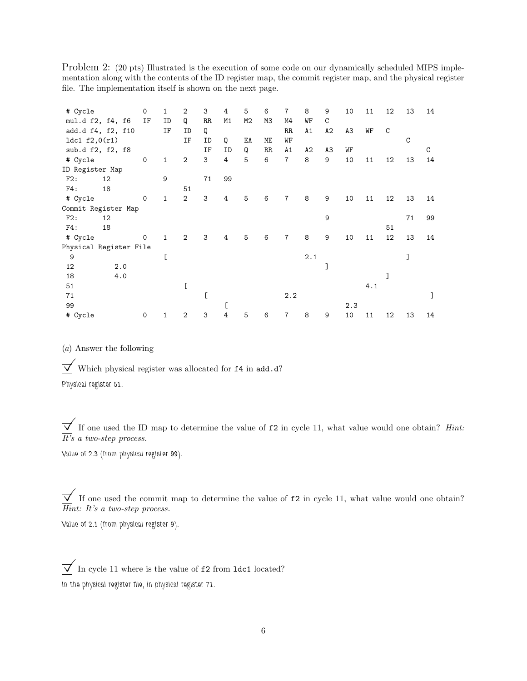Problem 2: (20 pts) Illustrated is the execution of some code on our dynamically scheduled MIPS implementation along with the contents of the ID register map, the commit register map, and the physical register file. The implementation itself is shown on the next page.

| # Cycle                |    |     | 0           | $\mathbf{1}$ | 2              | 3  | 4  | 5  | 6           | $\overline{7}$ | 8   | 9  | 10  | 11  | 12 | 13          | 14          |
|------------------------|----|-----|-------------|--------------|----------------|----|----|----|-------------|----------------|-----|----|-----|-----|----|-------------|-------------|
| mul.d f2, f4, f6       |    |     | IF          | ID           | Q              | RR | M1 | M2 | МЗ          | M4             | WF  | C  |     |     |    |             |             |
| add.d f4, f2, f10      |    |     |             | ΙF           | ID             | Q  |    |    |             | RR             | A1  | A2 | A3  | WF  | C  |             |             |
| 1dc1 $f2,0(r1)$        |    |     |             |              | ΙF             | ID | Q  | EA | МE          | WF             |     |    |     |     |    | $\mathbf C$ |             |
| sub.d f2, f2, f8       |    |     |             |              |                | ΙF | ID | Q  | $_{\rm RR}$ | A1             | A2  | A3 | WF  |     |    |             | $\mathbf C$ |
| # Cycle                |    |     | $\mathbf 0$ | $\mathbf{1}$ | $\overline{2}$ | 3  | 4  | 5  | 6           | $\overline{7}$ | 8   | 9  | 10  | 11  | 12 | 13          | 14          |
| ID Register Map        |    |     |             |              |                |    |    |    |             |                |     |    |     |     |    |             |             |
| F2:                    | 12 |     |             | 9            |                | 71 | 99 |    |             |                |     |    |     |     |    |             |             |
| F4:                    | 18 |     |             |              | 51             |    |    |    |             |                |     |    |     |     |    |             |             |
| # Cycle                |    |     | $\mathbf 0$ | $\mathbf{1}$ | $\overline{2}$ | 3  | 4  | 5  | 6           | $\overline{7}$ | 8   | 9  | 10  | 11  | 12 | 13          | 14          |
| Commit Register Map    |    |     |             |              |                |    |    |    |             |                |     |    |     |     |    |             |             |
| F2:                    | 12 |     |             |              |                |    |    |    |             |                |     | 9  |     |     |    | 71          | 99          |
| F4:                    | 18 |     |             |              |                |    |    |    |             |                |     |    |     |     | 51 |             |             |
| # Cycle                |    |     | $\mathbf 0$ | $\mathbf{1}$ | $\overline{2}$ | 3  | 4  | 5  | 6           | $\overline{7}$ | 8   | 9  | 10  | 11  | 12 | 13          | 14          |
| Physical Register File |    |     |             |              |                |    |    |    |             |                |     |    |     |     |    |             |             |
| 9                      |    |     |             | ſ            |                |    |    |    |             |                | 2.1 |    |     |     |    | J           |             |
| 12                     |    | 2.0 |             |              |                |    |    |    |             |                |     | 1  |     |     |    |             |             |
| 18                     |    | 4.0 |             |              |                |    |    |    |             |                |     |    |     |     | 1  |             |             |
| 51                     |    |     |             |              |                |    |    |    |             |                |     |    |     | 4.1 |    |             |             |
| 71                     |    |     |             |              |                |    |    |    |             | 2.2            |     |    |     |     |    |             |             |
| 99                     |    |     |             |              |                |    | D  |    |             |                |     |    | 2.3 |     |    |             |             |
| # Cycle                |    |     | 0           | 1            | $\overline{2}$ | 3  | 4  | 5  | 6           | 7              | 8   | 9  | 10  | 11  | 12 | 13          | 14          |

(a) Answer the following

 $\overline{\bigvee}$  Which physical register was allocated for **f4** in add.d?

Physical register 51.

 $\overrightarrow{v}$  If one used the ID map to determine the value of  $f2$  in cycle 11, what value would one obtain? *Hint*:  $\overline{It}$ 's a two-step process.

Value of 2.3 (from physical register 99).

 $\overline{\bigvee}$  If one used the commit map to determine the value of  $f2$  in cycle 11, what value would one obtain? Hint: It's a two-step process.

Value of 2.1 (from physical register 9).

 $\boxed{\bigvee}$  In cycle 11 where is the value of  $\mathtt{f2}$  from  $\mathtt{ldc1}$  located? In the physical register file, in physical register 71.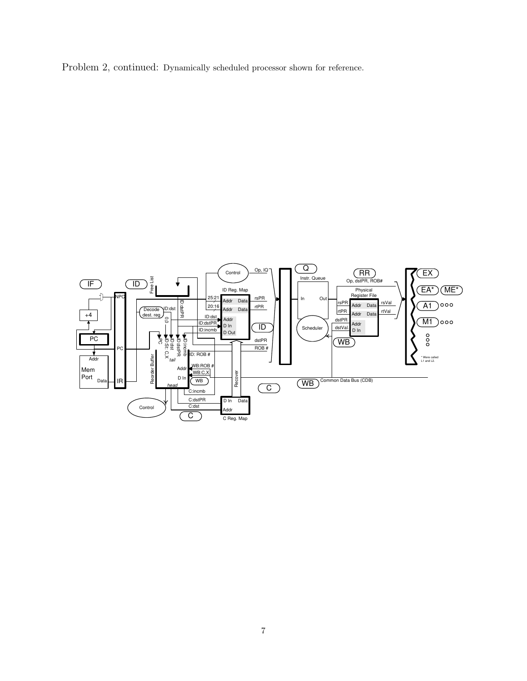Problem 2, continued: Dynamically scheduled processor shown for reference.

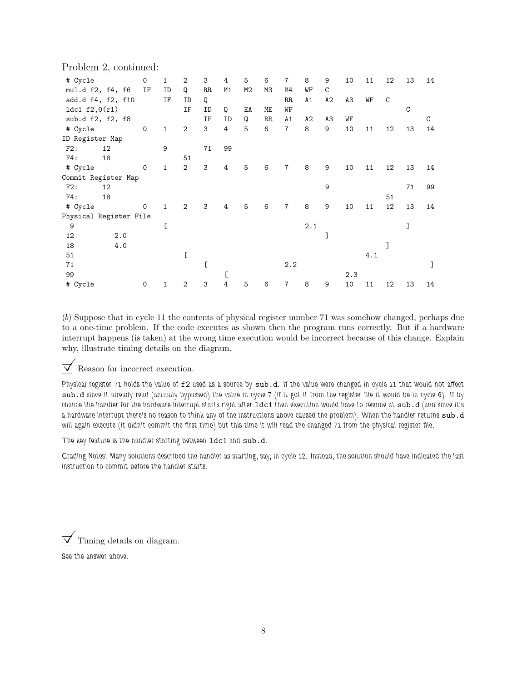|  |  | Problem 2, continued: |
|--|--|-----------------------|
|--|--|-----------------------|

| # Cycle<br>mul.d f2, f4, f6 |    |     | 0<br>ΙF      | $\mathbf{1}$<br>ID | 2<br>Q         | 3<br>RR | 4<br>M1        | 5<br>M2 | 6<br>M3     | $\overline{7}$<br>M4 | 8<br>WF | 9<br>C | 10  | 11  | 12 | 13          | 14 |
|-----------------------------|----|-----|--------------|--------------------|----------------|---------|----------------|---------|-------------|----------------------|---------|--------|-----|-----|----|-------------|----|
| add.d f4, f2, f10           |    |     |              | ΙF                 | ID             | Q       |                |         |             | RR                   | A1      | A2     | A3  | WF  | C  |             |    |
| 1dc1 $f2,0(r1)$             |    |     |              |                    | ΙF             | ID      | Q              | EA      | ME          | WF                   |         |        |     |     |    | $\mathbf C$ |    |
| sub.d f2, f2, f8            |    |     |              |                    |                | ΙF      | ID             | Q       | $_{\rm RR}$ | A1                   | A2      | A3     | WF  |     |    |             | C  |
| # Cycle                     |    |     | $\mathsf{O}$ | $\mathbf{1}$       | $\mathbf{2}$   | 3       | $\overline{4}$ | 5       | 6           | $\overline{7}$       | 8       | 9      | 10  | 11  | 12 | 13          | 14 |
| ID Register Map             |    |     |              |                    |                |         |                |         |             |                      |         |        |     |     |    |             |    |
| F2:                         | 12 |     |              | 9                  |                | 71      | 99             |         |             |                      |         |        |     |     |    |             |    |
| F4:                         | 18 |     |              |                    | 51             |         |                |         |             |                      |         |        |     |     |    |             |    |
| # Cycle                     |    |     | 0            | $\mathbf{1}$       | $\overline{2}$ | 3       | 4              | 5       | 6           | $\overline{7}$       | 8       | 9      | 10  | 11  | 12 | 13          | 14 |
| Commit Register Map         |    |     |              |                    |                |         |                |         |             |                      |         |        |     |     |    |             |    |
| F2:                         | 12 |     |              |                    |                |         |                |         |             |                      |         | 9      |     |     |    | 71          | 99 |
| F4:                         | 18 |     |              |                    |                |         |                |         |             |                      |         |        |     |     | 51 |             |    |
| # Cycle                     |    |     | $\mathbf 0$  | $\mathbf{1}$       | $\overline{2}$ | 3       | 4              | 5       | 6           | $\overline{7}$       | 8       | 9      | 10  | 11  | 12 | 13          | 14 |
| Physical Register File      |    |     |              |                    |                |         |                |         |             |                      |         |        |     |     |    |             |    |
| 9                           |    |     |              | C                  |                |         |                |         |             |                      | 2.1     |        |     |     |    |             |    |
| 12                          |    | 2.0 |              |                    |                |         |                |         |             |                      |         |        |     |     |    |             |    |
| 18                          |    | 4.0 |              |                    |                |         |                |         |             |                      |         |        |     |     |    |             |    |
| 51                          |    |     |              |                    | C              |         |                |         |             |                      |         |        |     | 4.1 |    |             |    |
| 71                          |    |     |              |                    |                | ſ       |                |         |             | 2.2                  |         |        |     |     |    |             |    |
| 99                          |    |     |              |                    |                |         | C              |         |             |                      |         |        | 2.3 |     |    |             |    |
| # Cycle                     |    |     | 0            | 1                  | $\mathbf{2}$   | 3       | 4              | 5       | 6           | $\overline{7}$       | 8       | 9      | 10  | 11  | 12 | 13          | 14 |

(b) Suppose that in cycle 11 the contents of physical register number 71 was somehow changed, perhaps due to a one-time problem. If the code executes as shown then the program runs correctly. But if a hardware interrupt happens (is taken) at the wrong time execution would be incorrect because of this change. Explain why, illustrate timing details on the diagram.

 $\triangledown$  Reason for incorrect execution.

Physical register 71 holds the value of f2 used as a source by sub.d. If the value were changed in cycle 11 that would not affect sub.d since it already read (actually bypassed) the value in cycle 7 (if it got it from the register file it would be in cycle 6). If by chance the handler for the hardware interrupt starts right after ldc1 then execution would have to resume at sub.d (and since it's a hardware interrupt there's no reason to think any of the instructions above caused the problem). When the handler returns sub.d will again execute (it didn't commit the first time) but this time it will read the changed 71 from the physical register file.

The key feature is the handler starting between ldc1 and sub.d.

Grading Notes: Many solutions described the handler as starting, say, in cycle 12. Instead, the solution should have indicated the last instruction to commit before the handler starts.

 $\triangledown$  Timing details on diagram.

See the answer above.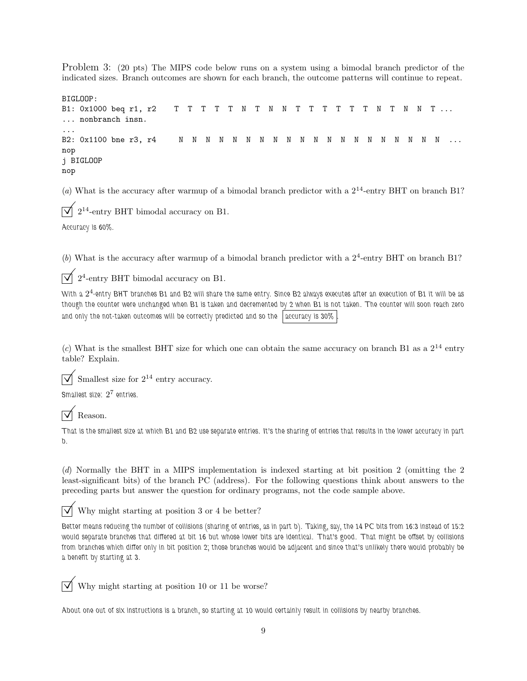Problem 3: (20 pts) The MIPS code below runs on a system using a bimodal branch predictor of the indicated sizes. Branch outcomes are shown for each branch, the outcome patterns will continue to repeat.

```
BIGLOOP:
B1: 0x1000 beq r1, r2 T T T T T N T N N T T T T T T N T N N T ...
... nonbranch insn.
...
B2: 0x1100 bne r3, r4 N N N N N N N N N N N N N N N N N N N N ...
nop
j BIGLOOP
nop
```
(a) What is the accuracy after warmup of a bimodal branch predictor with a  $2^{14}$ -entry BHT on branch B1?

 $\overline{\vee}$  $2^{14}$ -entry BHT bimodal accuracy on B1.

Accuracy is 60%.

(b) What is the accuracy after warmup of a bimodal branch predictor with a  $2<sup>4</sup>$ -entry BHT on branch B1?

 $\sqrt{2^4}$ -entry BHT bimodal accuracy on B1.

With a  $2^4$ -entry BHT branches B1 and B2 will share the same entry. Since B2 always executes after an execution of B1 it will be as though the counter were unchanged when B1 is taken and decremented by 2 when B1 is not taken. The counter will soon reach zero and only the not-taken outcomes will be correctly predicted and so the accuracy is  $30\%$ 

(c) What is the smallest BHT size for which one can obtain the same accuracy on branch B1 as a  $2^{14}$  entry table? Explain.

 $\sqrt{\ }$  Smallest size for  $2^{14}$  entry accuracy.

Smallest size:  $2^7$  entries.

Reason.

That is the smallest size at which B1 and B2 use separate entries. It's the sharing of entries that results in the lower accuracy in part  $\mathfrak{h}$ 

(d) Normally the BHT in a MIPS implementation is indexed starting at bit position 2 (omitting the 2 least-significant bits) of the branch PC (address). For the following questions think about answers to the preceding parts but answer the question for ordinary programs, not the code sample above.

 $\triangledown$  Why might starting at position 3 or 4 be better?

Better means reducing the number of collisions (sharing of entries, as in part b). Taking, say, the 14 PC bits from 16:3 instead of 15:2 would separate branches that differed at bit 16 but whose lower bits are identical. That's good. That might be offset by collisions from branches which differ only in bit position 2; those branches would be adjacent and since that's unlikely there would probably be a benefit by starting at 3.



©Why might starting at position <sup>10</sup> or <sup>11</sup> be worse?

About one out of six instructions is a branch, so starting at 10 would certainly result in collisions by nearby branches.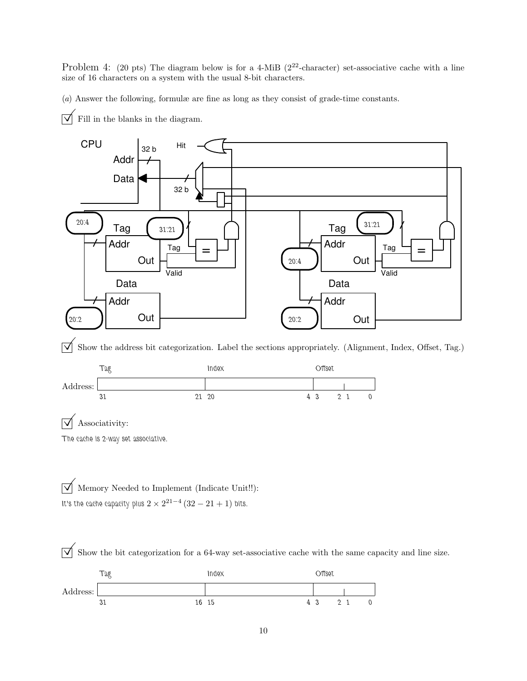Problem 4: (20 pts) The diagram below is for a 4-MiB ( $2^{22}$ -character) set-associative cache with a line size of 16 characters on a system with the usual 8-bit characters.

(a) Answer the following, formulæ are fine as long as they consist of grade-time constants.

 $\overrightarrow{\mathsf{M}}$  Fill in the blanks in the diagram.



 $\overline{\sqrt{\ }}$  Show the address bit categorization. Label the sections appropriately. (Alignment, Index, Offset, Tag.)



The cache is 2-way set associative.

 $\overrightarrow{\bigvee}$  Memory Needed to Implement (Indicate Unit!!): It's the cache capacity plus  $2 \times 2^{21-4}$   $(32-21+1)$  bits.

 $\overrightarrow{\bigvee}$  Show the bit categorization for a 64-way set-associative cache with the same capacity and line size.

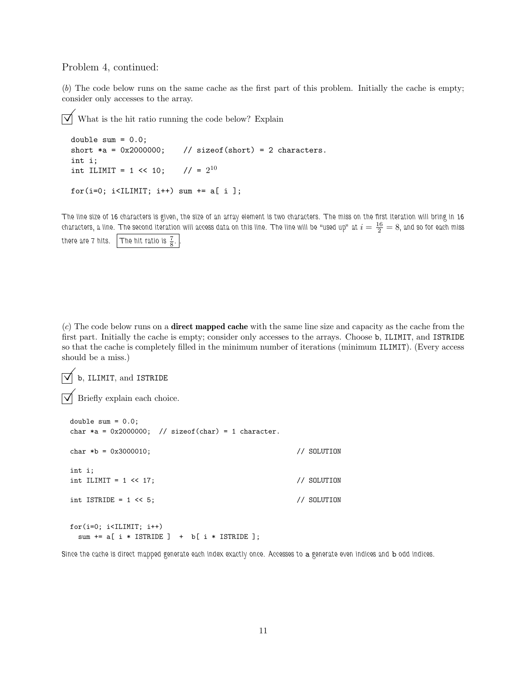## Problem 4, continued:

(b) The code below runs on the same cache as the first part of this problem. Initially the cache is empty; consider only accesses to the array.

 $\overrightarrow{\mathsf{a}}$  What is the hit ratio running the code below? Explain

```
double sum = 0.0;
short *a = 0x2000000; // sizeof(short) = 2 characters.
int i;
int ILIMIT = 1 \le 10;
                         1/ = 2^{10}for(i=0; i<ILIMIT; i++) sum += a[ i ];
```
The line size of 16 characters is given, the size of an array element is two characters. The miss on the first iteration will bring in 16 characters, a line. The second iteration will access data on this line. The line will be "used up" at  $i=\frac{16}{2}=8,$  and so for each miss there are 7 hits. The hit ratio is  $\frac{7}{8}$ .

 $(c)$  The code below runs on a **direct mapped cache** with the same line size and capacity as the cache from the first part. Initially the cache is empty; consider only accesses to the arrays. Choose b, ILIMIT, and ISTRIDE so that the cache is completely filled in the minimum number of iterations (minimum ILIMIT). (Every access should be a miss.)

```
\overline{\bigvee} b, ILIMIT, and ISTRIDE
```
 $\overrightarrow{v}$  Briefly explain each choice.

```
double sum = 0.0;
char *a = 0x2000000; // sizeof(char) = 1 character.
char *b = 0x3000010; // SOLUTION
int i;
int ILIMIT = 1 << 17; // SOLUTION
int ISTRIDE = 1 << 5; // SOLUTION
for(i=0; i<ILIMIT; i++)
```

```
sum += a[ i * ISTRIDE ] + b[ i * ISTRIDE ];
```
Since the cache is direct mapped generate each index exactly once. Accesses to a generate even indices and b odd indices.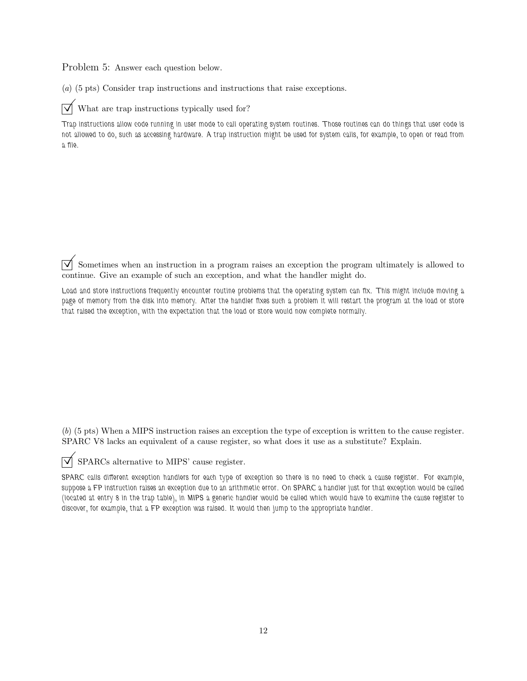Problem 5: Answer each question below.

(a) (5 pts) Consider trap instructions and instructions that raise exceptions.

 $\triangledown$  What are trap instructions typically used for?

Trap instructions allow code running in user mode to call operating system routines. Those routines can do things that user code is not allowed to do, such as accessing hardware. A trap instruction might be used for system calls, for example, to open or read from a file.

 $\overline{\vee}$  Sometimes when an instruction in a program raises an exception the program ultimately is allowed to continue. Give an example of such an exception, and what the handler might do.

Load and store instructions frequently encounter routine problems that the operating system can fix. This might include moving a page of memory from the disk into memory. After the handler fixes such a problem it will restart the program at the load or store that raised the exception, with the expectation that the load or store would now complete normally.

(b) (5 pts) When a MIPS instruction raises an exception the type of exception is written to the cause register. SPARC V8 lacks an equivalent of a cause register, so what does it use as a substitute? Explain.

 $\triangledown$  SPARCs alternative to MIPS' cause register.

SPARC calls different exception handlers for each type of exception so there is no need to check a cause register. For example, suppose a FP instruction raises an exception due to an arithmetic error. On SPARC a handler just for that exception would be called (located at entry 8 in the trap table), in MIPS a generic handler would be called which would have to examine the cause register to discover, for example, that a FP exception was raised. It would then jump to the appropriate handler.